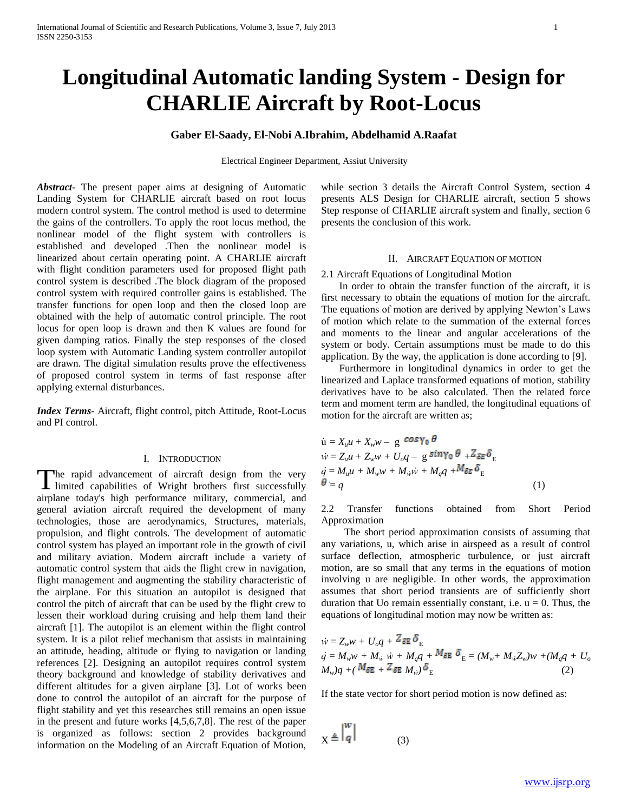# **Longitudinal Automatic landing System - Design for CHARLIE Aircraft by Root-Locus**

# **Gaber El-Saady, El-Nobi A.Ibrahim, Abdelhamid A.Raafat**

Electrical Engineer Department, Assiut University

*Abstract***-** The present paper aims at designing of Automatic Landing System for CHARLIE aircraft based on root locus modern control system. The control method is used to determine the gains of the controllers. To apply the root locus method, the nonlinear model of the flight system with controllers is established and developed .Then the nonlinear model is linearized about certain operating point. A CHARLIE aircraft with flight condition parameters used for proposed flight path control system is described .The block diagram of the proposed control system with required controller gains is established. The transfer functions for open loop and then the closed loop are obtained with the help of automatic control principle. The root locus for open loop is drawn and then K values are found for given damping ratios. Finally the step responses of the closed loop system with Automatic Landing system controller autopilot are drawn. The digital simulation results prove the effectiveness of proposed control system in terms of fast response after applying external disturbances.

*Index Terms*- Aircraft, flight control, pitch Attitude, Root-Locus and PI control.

#### I. INTRODUCTION

The rapid advancement of aircraft design from the very limited capabilities of Wright brothers first successfully **L** limited capabilities of Wright brothers first successfully airplane today's high performance military, commercial, and general aviation aircraft required the development of many technologies, those are aerodynamics, Structures, materials, propulsion, and flight controls. The development of automatic control system has played an important role in the growth of civil and military aviation. Modern aircraft include a variety of automatic control system that aids the flight crew in navigation, flight management and augmenting the stability characteristic of the airplane. For this situation an autopilot is designed that control the pitch of aircraft that can be used by the flight crew to lessen their workload during cruising and help them land their aircraft [1]. The autopilot is an element within the flight control system. It is a pilot relief mechanism that assists in maintaining an attitude, heading, altitude or flying to navigation or landing references [2]. Designing an autopilot requires control system theory background and knowledge of stability derivatives and different altitudes for a given airplane [3]. Lot of works been done to control the autopilot of an aircraft for the purpose of flight stability and yet this researches still remains an open issue in the present and future works [4,5,6,7,8]. The rest of the paper is organized as follows: section 2 provides background information on the Modeling of an Aircraft Equation of Motion,

while section 3 details the Aircraft Control System, section 4 presents ALS Design for CHARLIE aircraft, section 5 shows Step response of CHARLIE aircraft system and finally, section 6 presents the conclusion of this work.

# II. AIRCRAFT EQUATION OF MOTION

#### 2.1 Aircraft Equations of Longitudinal Motion

 In order to obtain the transfer function of the aircraft, it is first necessary to obtain the equations of motion for the aircraft. The equations of motion are derived by applying Newton's Laws of motion which relate to the summation of the external forces and moments to the linear and angular accelerations of the system or body. Certain assumptions must be made to do this application. By the way, the application is done according to [9].

 Furthermore in longitudinal dynamics in order to get the linearized and Laplace transformed equations of motion, stability derivatives have to be also calculated. Then the related force term and moment term are handled, the longitudinal equations of motion for the aircraft are written as;

$$
\dot{u} = X_u u + X_w w - g \cos \gamma_0 \theta
$$
  
\n
$$
\dot{w} = Z_u u + Z_w w + U_o q - g \sin \gamma_0 \theta + Z \sin \theta_E
$$
  
\n
$$
\dot{q} = M_u u + M_w w + M_w \dot{w} + M_q q + M \sin \theta_E
$$
  
\n
$$
\theta = q
$$
\n(1)

2.2 Transfer functions obtained from Short Period Approximation

 The short period approximation consists of assuming that any variations, u, which arise in airspeed as a result of control surface deflection, atmospheric turbulence, or just aircraft motion, are so small that any terms in the equations of motion involving u are negligible. In other words, the approximation assumes that short period transients are of sufficiently short duration that Uo remain essentially constant, i.e.  $u = 0$ . Thus, the equations of longitudinal motion may now be written as:

$$
\dot{w} = Z_w w + U_o q + 2 \delta E \Phi_E
$$
\n
$$
\dot{q} = M_w w + M_w \dot{w} + M_q q + M_{\delta E} \delta_E = (M_w + M_w Z_w) w + (M_q q + U_o)
$$
\n
$$
M_w)q + (M_{\delta E} + Z_{\delta E} M_w) \delta_E
$$
\n(2)

If the state vector for short period motion is now defined as:

$$
X \triangleq \begin{vmatrix} w \\ q \end{vmatrix} \tag{3}
$$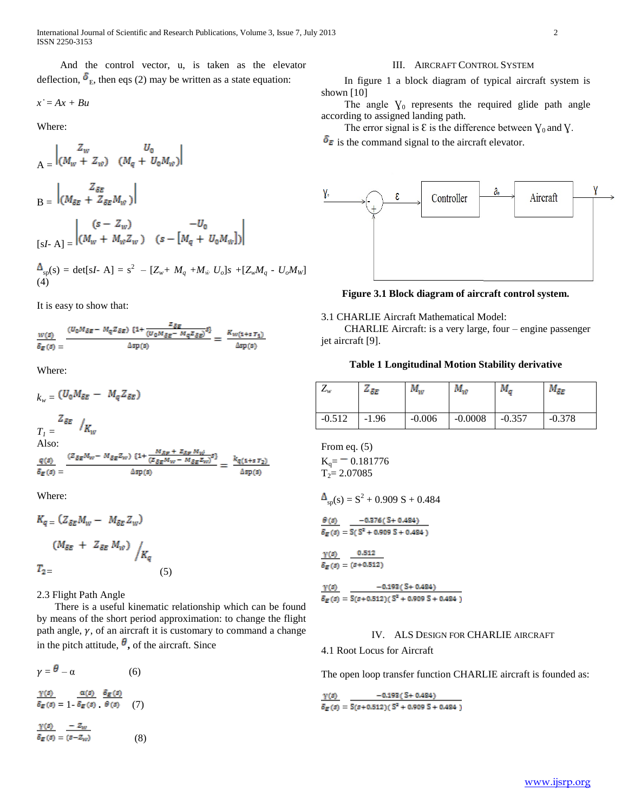International Journal of Scientific and Research Publications, Volume 3, Issue 7, July 2013 2 ISSN 2250-3153

 And the control vector, u, is taken as the elevator deflection,  $\delta_{\rm E}$ , then eqs (2) may be written as a state equation:

$$
x^{\cdot} = Ax + Bu
$$

Where:

$$
A = \begin{vmatrix} Z_w & U_0 \\ (M_w + Z_w) & (M_q + U_0 M_w) \end{vmatrix}
$$
  
\n
$$
B = \begin{vmatrix} Z_{\delta E} \\ (M_{\delta E} + Z_{\delta E} M_w) \end{vmatrix}
$$
  
\n
$$
[sI - A] = \begin{vmatrix} (s - Z_w) & -U_0 \\ (M_w + M_w Z_w) & (s - [M_q + U_0 M_w]) \end{vmatrix}
$$

$$
\Delta_{\rm sp}(s) = \det[sI - A] = s^2 - [Z_w + M_q + M_w U_o]s + [Z_w M_q - U_o M_w]
$$
  
(4)

It is easy to show that:

$$
\frac{w(s)}{\delta_E(s)} = \frac{(U_0 M_{\delta E} - M_q Z_{\delta E}) (1 + \frac{Z_{\delta E}}{(U_0 M_{\delta E} - M_q Z_{\delta E})} s)}{\Delta sp(s)} = \frac{K_{w(1+s)} \tau_1}{\Delta sp(s)}
$$

Where:

$$
k_w = (U_0 M_{\delta E} - M_q Z_{\delta E})
$$
  
\n
$$
T_I = \frac{Z_{\delta E}}{K_W}
$$
  
\nAlso:  
\n
$$
\frac{q(s)}{\delta_E(s)} = \frac{(Z_{\delta E} M_w - M_{\delta E} Z_w) \{1 + \frac{M_{\delta E} + Z_{\delta E} M_w}{(Z_{\delta E} M_w - M_{\delta E} Z_w)^{\delta}\}}}{\Delta sp(s)} = \frac{k_{q(1+s)T_2}}{\Delta sp(s)}
$$

Where:

$$
K_{q} = (Z_{\delta E} M_w - M_{\delta E} Z_w)
$$
  

$$
(M_{\delta E} + Z_{\delta E} M_w) / K_q
$$
  

$$
T_{2} = (5)
$$

2.3 Flight Path Angle

 There is a useful kinematic relationship which can be found by means of the short period approximation: to change the flight path angle,  $\gamma$ , of an aircraft it is customary to command a change in the pitch attitude,  $\theta$ , of the aircraft. Since

$$
\gamma = \theta - \alpha \qquad (6)
$$
  

$$
\frac{\gamma(s)}{\delta_E(s)} = \frac{\alpha(s)}{1 - \delta_E(s)} \cdot \frac{\delta_E(s)}{\theta(s)} \qquad (7)
$$
  

$$
\frac{\gamma(s)}{\gamma(s)} = -z_w
$$

 $\delta_E(s) = (s - Z_w)$  (8)

#### III. AIRCRAFT CONTROL SYSTEM

 In figure 1 a block diagram of typical aircraft system is shown [10]

The angle  $\gamma_0$  represents the required glide path angle according to assigned landing path.

The error signal is  $\mathcal E$  is the difference between  $\gamma_0$  and  $\gamma$ .

 $\delta_{\mathbf{E}}$  is the command signal to the aircraft elevator.



**Figure 3.1 Block diagram of aircraft control system.**

#### 3.1 CHARLIE Aircraft Mathematical Model:

 CHARLIE Aircraft: is a very large, four – engine passenger jet aircraft [9].

## **Table 1 Longitudinal Motion Stability derivative**

| $\mathcal{L}_W$ | 4 SE    | $M_{\rm w}$ | $M_{\rm w}$ | $M_{\sigma}$ | $M_{\delta E}$ |
|-----------------|---------|-------------|-------------|--------------|----------------|
| $-0.512$        | $-1.96$ | $-0.006$    | $-0.0008$   | $-0.357$     | $-0.378$       |

From eq. (5)  $K_q = 0.181776$ 

$$
T_2 = 2.07085
$$

$$
\Delta_{\rm sp}(s) = S^2 + 0.909 \, S + 0.484
$$

$$
\frac{\theta(s)}{\delta_E(s)} = \frac{-0.376( S + 0.484)}{S(S^2 + 0.909 S + 0.484)}
$$

$$
x \cdot y = x
$$

 $\gamma(s)$  0.512  $\delta_E\left(\bar{s}\right)=\left(\bar{s}{+}0.512\right)$ 

 $\gamma(s)$  $-0.193($  S + 0.484)  $\delta_E(s) = S(s+0.512)(S^2+0.909S+0.484)$ 

## IV. ALS DESIGN FOR CHARLIE AIRCRAFT

4.1 Root Locus for Aircraft

The open loop transfer function CHARLIE aircraft is founded as:

 $-0.193($  S + 0.484)  $Y(s)$  $\overline{\delta_E(s)} = \overline{S(s+0.512)(S^2+0.909S+0.484)}$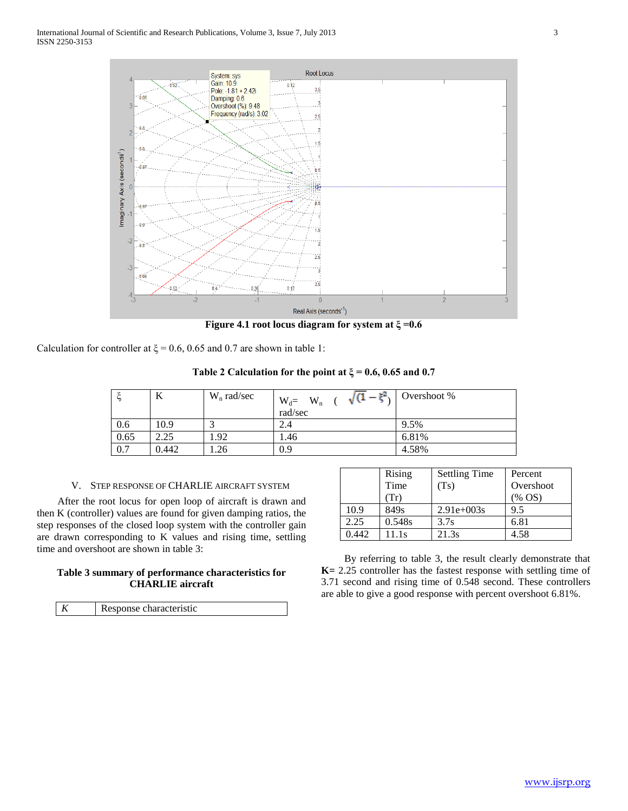

**Figure 4.1 root locus diagram for system at ξ =0.6**

Calculation for controller at  $\xi$  = 0.6, 0.65 and 0.7 are shown in table 1:

**Table 2 Calculation for the point at ξ = 0.6, 0.65 and 0.7**

| ۰    | л     | $W_n$ rad/sec | $\sqrt{(1-\xi^2)^{1/2}}$<br>$W_d = \nrad/sec$<br>$W_n$ | Overshoot % |
|------|-------|---------------|--------------------------------------------------------|-------------|
| 0.6  | 10.9  |               | 2.4                                                    | 9.5%        |
| 0.65 | 2.25  | 1.92          | 1.46                                                   | 6.81%       |
| 0.7  | 0.442 | 1.26          | 0.9                                                    | 4.58%       |

## V. STEP RESPONSE OF CHARLIE AIRCRAFT SYSTEM

 After the root locus for open loop of aircraft is drawn and then K (controller) values are found for given damping ratios, the step responses of the closed loop system with the controller gain are drawn corresponding to K values and rising time, settling time and overshoot are shown in table 3:

# **Table 3 summary of performance characteristics for CHARLIE aircraft**

| $\mid K$ | Response characteristic |
|----------|-------------------------|

|       | Rising | <b>Settling Time</b> | Percent   |
|-------|--------|----------------------|-----------|
|       | Time   | (Ts)                 | Overshoot |
|       | (Tr)   |                      | $(\%$ OS) |
| 10.9  | 849s   | $2.91e+003s$         | 9.5       |
| 2.25  | 0.548s | 3.7s                 | 6.81      |
| 0.442 | 11.1s  | 21.3s                | 4.58      |

 By referring to table 3, the result clearly demonstrate that **K=** 2.25 controller has the fastest response with settling time of 3.71 second and rising time of 0.548 second. These controllers are able to give a good response with percent overshoot 6.81%.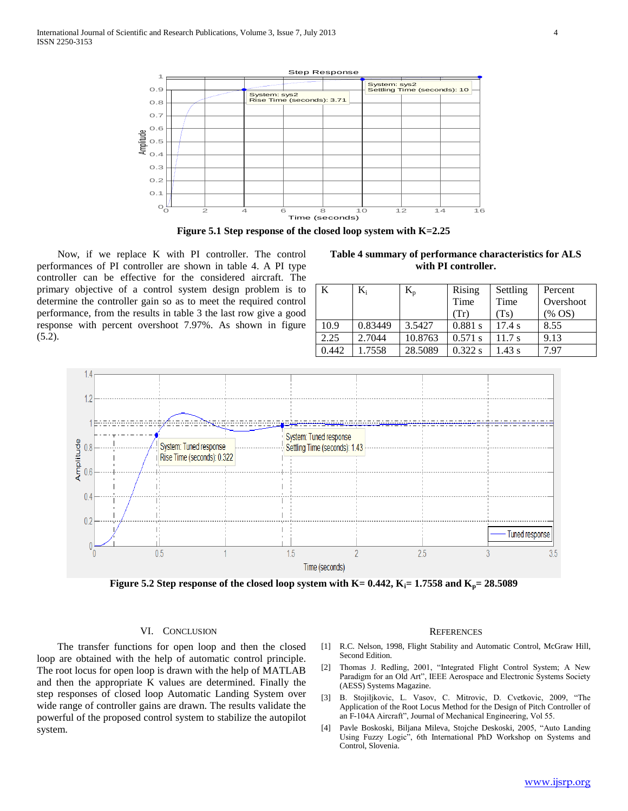



 Now, if we replace K with PI controller. The control performances of PI controller are shown in table 4. A PI type controller can be effective for the considered aircraft. The primary objective of a control system design problem is to determine the controller gain so as to meet the required control performance, from the results in table 3 the last row give a good response with percent overshoot 7.97%. As shown in figure  $(5.2).$ 

**Table 4 summary of performance characteristics for ALS with PI controller.**

| K     | $K_i$   | $K_{p}$ | Rising    | Settling | Percent   |
|-------|---------|---------|-----------|----------|-----------|
|       |         |         | Time      | Time     | Overshoot |
|       |         |         | (Tr)      | (Ts)     | $(\%$ OS) |
| 10.9  | 0.83449 | 3.5427  | 0.881 s   | 17.4 s   | 8.55      |
| 2.25  | 2.7044  | 10.8763 | $0.571$ s | 11.7 s   | 9.13      |
| 0.442 | 1.7558  | 28.5089 | 0.322 s   | 1.43 s   | 7.97      |



**Figure 5.2 Step response of the closed loop system with K= 0.442, Ki= 1.7558 and Kp= 28.5089**

## VI. CONCLUSION

 The transfer functions for open loop and then the closed loop are obtained with the help of automatic control principle. The root locus for open loop is drawn with the help of MATLAB and then the appropriate K values are determined. Finally the step responses of closed loop Automatic Landing System over wide range of controller gains are drawn. The results validate the powerful of the proposed control system to stabilize the autopilot system.

#### **REFERENCES**

- [1] R.C. Nelson, 1998, Flight Stability and Automatic Control, McGraw Hill, Second Edition.
- [2] Thomas J. Redling, 2001, "Integrated Flight Control System; A New Paradigm for an Old Art", IEEE Aerospace and Electronic Systems Society (AESS) Systems Magazine.
- [3] B. Stojiljkovic, L. Vasov, C. Mitrovic, D. Cvetkovic, 2009, "The Application of the Root Locus Method for the Design of Pitch Controller of an F-104A Aircraft", Journal of Mechanical Engineering, Vol 55.
- [4] Pavle Boskoski, Biljana Mileva, Stojche Deskoski, 2005, "Auto Landing Using Fuzzy Logic", 6th International PhD Workshop on Systems and Control, Slovenia.